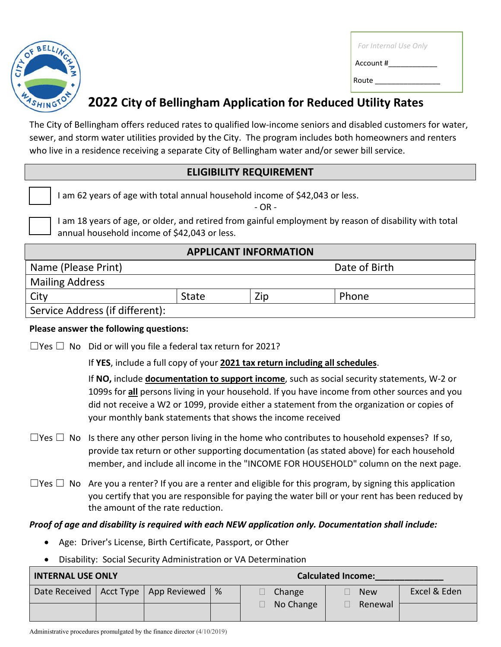

| For Internal Use Only |  |
|-----------------------|--|
| Account #             |  |
| Route                 |  |

## **2022 City of Bellingham Application for Reduced Utility Rates**

The City of Bellingham offers reduced rates to qualified low-income seniors and disabled customers for water, sewer, and storm water utilities provided by the City. The program includes both homeowners and renters who live in a residence receiving a separate City of Bellingham water and/or sewer bill service.

### **ELIGIBILITY REQUIREMENT**

I am 62 years of age with total annual household income of \$42,043 or less.

- OR -

I am 18 years of age, or older, and retired from gainful employment by reason of disability with total annual household income of \$42,043 or less.

## **APPLICANT INFORMATION**

| Name (Please Print)             |       |     | Date of Birth |  |
|---------------------------------|-------|-----|---------------|--|
| <b>Mailing Address</b>          |       |     |               |  |
| City                            | State | Zip | Phone         |  |
| Service Address (if different): |       |     |               |  |

#### **Please answer the following questions:**

 $\Box$ Yes  $\Box$  No Did or will you file a federal tax return for 2021?

If **YES**, include a full copy of your **2021 tax return including all schedules**.

If **NO,** include **documentation to support income**, such as social security statements, W-2 or 1099s for **all** persons living in your household. If you have income from other sources and you did not receive a W2 or 1099, provide either a statement from the organization or copies of your monthly bank statements that shows the income received

- $\Box$ Yes  $\Box$  No Is there any other person living in the home who contributes to household expenses? If so, provide tax return or other supporting documentation (as stated above) for each household member, and include all income in the "INCOME FOR HOUSEHOLD" column on the next page.
- $\Box$ Yes  $\Box$  No Are you a renter? If you are a renter and eligible for this program, by signing this application you certify that you are responsible for paying the water bill or your rent has been reduced by the amount of the rate reduction.

### *Proof of age and disability is required with each NEW application only. Documentation shall include:*

- Age: Driver's License, Birth Certificate, Passport, or Other
- Disability: Social Security Administration or VA Determination

| <b>INTERNAL USE ONLY</b> |  |                                          |   | <b>Calculated Income:</b> |            |              |
|--------------------------|--|------------------------------------------|---|---------------------------|------------|--------------|
|                          |  | Date Received   Acct Type   App Reviewed | % | Change<br>No Change       | <b>New</b> | Excel & Eden |
|                          |  |                                          |   |                           | Renewal    |              |